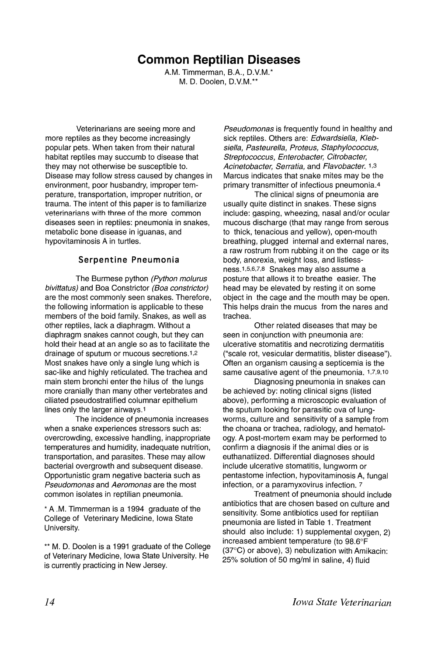# **Common Reptilian Diseases**

A.M. Timmerman, B.A., D.V.M.\* M. D. Doolen, D.V.M.\*\*

Veterinarians are seeing more and more reptiles as they become increasingly popular pets. When taken from their natural habitat reptiles may succumb to disease that they may not otherwise be susceptible to. Disease may follow stress caused by changes in environment, poor husbandry, improper temperature, transportation, improper nutrition, or trauma. The intent of this paper is to familiarize veterinarians with three of the more common diseases seen in reptiles: pneumonia in snakes, metabolic bone disease in iguanas, and hypovitaminosis A in turtles.

# **Serpentine Pneumonia**

The Burmese python (Python molurus bivittatus) and Boa Constrictor (Boa constrictor) are the most commonly seen snakes. Therefore, the following information is applicable to these members of the boid family. Snakes, as well as other reptiles, lack a diaphragm. Without a diaphragm snakes cannot cough, but they can hold their head at an angle so as to facilitate the drainage of sputum or mucous secretions.1,2 Most snakes have only a single lung which is sac-like and highly reticulated. The trachea and main stem bronchi enter the hilus of the lungs more cranially than many other vertebrates and ciliated pseudostratified columnar epithelium lines only the larger airways.1

The incidence of pneumonia increases when a snake experiences stressors such as: overcrowding, excessive handling, inappropriate temperatures and humidity, inadequate nutrition, transportation, and parasites. These may allow bacterial overgrowth and subsequent disease. Opportunistic gram negative bacteria such as Pseudomonas and Aeromonas are the most common isolates in reptilian pneumonia.

\* A .M. Timmerman is a 1994 graduate of the College of Veterinary Medicine, Iowa State University.

\*\* M. D. Doolen is a 1991 graduate of the College of Veterinary Medicine, Iowa State University. He is currently practicing in New Jersey.

Pseudomonas is frequently found in healthy and sick reptiles. Others are: Edwardsiella, Klebsiella, Pasteurella, Proteus, Staphylococcus, Streptococcus, Enterobacter, Citrobacter, Acinetobacter, Serratia, and Flavobacter. 1,3 Marcus indicates that snake mites may be the primary transmitter of infectious pneumonia.4

The clinical signs of pneumonia are usually quite distinct in snakes. These signs include: gasping, wheezing, nasal and/or ocular mucous discharge (that may range from serous to thick, tenacious and yellow), open-mouth breathing, plugged internal and external nares, a raw rostrum from rubbing it on the cage or its body, anorexia, weight loss, and Iistlessness.1,5,6,7,8 Snakes may also assume a posture that allows it to breathe easier. The head may be elevated by resting it on some object in the cage and the mouth may be open. This helps drain the mucus from the nares and trachea.

Other related diseases that may be seen in conjunction with pneumonia are: ulcerative stomatitis and necrotizing dermatitis ("scale rot, vesicular dermatitis, blister disease"). Often an organism causing a septicemia is the same causative agent of the pneumonia. 1,7,9,10

Diagnosing pneumonia in snakes can be achieved by: noting clinical signs (listed above), performing a microscopic evaluation of the sputum looking for parasitic ova of lungworms, culture and sensitivity of a sample from the choana or trachea, radiology, and hematology. A post-mortem exam may be performed to confirm a diagnosis if the animal dies or is euthanatiized. Differential diagnoses should include ulcerative stomatitis, lungworm or pentastome infection, hypovitaminosis A, fungal infection, or a paramyxovirus infection. 7

Treatment of pneumonia should include antibiotics that are chosen based on culture and sensitivity. Some antibiotics used for reptilian pneumonia are listed in Table 1. Treatment should also include: 1) supplemental oxygen, 2) increased ambient temperature (to 98.6°F (37°C) or above), 3) nebulization with Amikacin: 25% solution of 50 mg/ml in saline, 4) fluid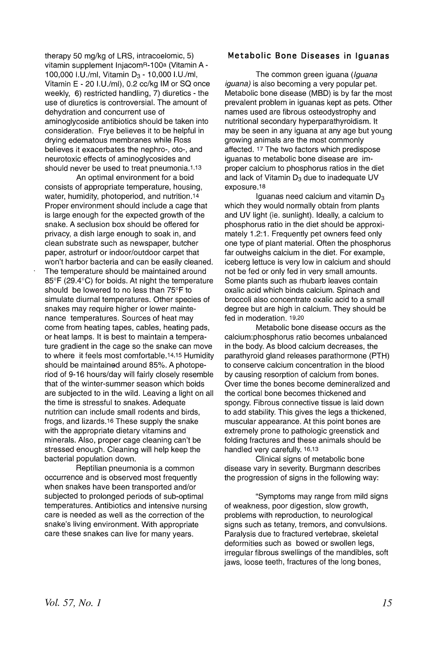therapy 50 mg/kg of LRS, intracoelomic, 5) vitamin supplement InjacomR-100a (Vitamin A-100,000 I.U./ml, Vitamin D<sub>3</sub> - 10,000 I.U./ml, Vitamin  $E - 20$  I.U./ml), 0.2 cc/kg IM or SQ once weekly, 6) restricted handling, 7) diuretics - the use of diuretics is controversial. The amount of dehydration and concurrent use of aminoglycoside antibiotics should be taken into consideration. Frye believes it to be helpful in drying edematous membranes while Ross believes it exacerbates the nephro-, oto-, and neurotoxic effects of aminoglycosides and should never be used to treat pneumonia.1,13

An optimal environment for a boid consists of appropriate temperature, housing, water, humidity, photoperiod, and nutrition.14 Proper environment should include a cage that is large enough for the expected growth of the snake. A seclusion box should be offered for privacy, a dish large enough to soak in, and clean substrate such as newspaper, butcher paper, astroturf or indoor/outdoor carpet that won't harbor bacteria and can be easily cleaned. The temperature should be maintained around 85°F (29.4°C) for boids. At night the temperature should be lowered to no less than 75°F to simulate diurnal temperatures. Other species of snakes may require higher or lower maintenance temperatures. Sources of heat may come from heating tapes, cables, heating pads, or heat lamps. It is best to maintain a temperature gradient in the cage so the snake can move to where it feels most comfortable. 14,15 Humidity should be maintained around 85%. A photoperiod of 9-16 hours/day will fairly closely resemble that of the winter-summer season which boids are subjected to in the wild. Leaving a light on all the time is stressful to snakes. Adequate nutrition can include small rodents and birds, frogs, and lizards.16 These supply the snake with the appropriate dietary vitamins and minerals. Also, proper cage cleaning can't be stressed enough. Cleaning will help keep the bacterial population down.

Reptilian pneumonia is a common occurrence and is observed most frequently when snakes have been transported and/or subjected to prolonged periods of sub-optimal temperatures. Antibiotics and intensive nursing care is needed as well as the correction of the snake's living environment. With appropriate care these snakes can live for many years.

# **Metabolic Bone Diseases in Iguanas**

The common green iguana (Iguana iguana) is also becoming a very popular pet. Metabolic bone disease (MBO) is by far the most prevalent problem in iguanas kept as pets. Other names used are fibrous osteodystrophy and nutritional secondary hyperparathyroidism. It may be seen in any iguana at any age but young growing animals are the most commonly affected. 17 The two factors which predispose iguanas to metabolic bone disease are improper calcium to phosphorus ratios in the diet and lack of Vitamin  $D_3$  due to inadequate UV exposure.18

Iguanas need calcium and vitamin  $D_3$ which they would normally obtain from plants and UV light (ie. sunlight). Ideally, a calcium to phosphorus ratio in the diet should be approximately 1.2:1. Frequently pet owners feed only one type of plant material. Often the phosphorus far outweighs calcium in the diet. For example, iceberg lettuce is very low in calcium and should not be fed or only fed in very small amounts. Some plants such as rhubarb leaves contain oxalic acid which binds calcium. Spinach and broccoli also concentrate oxalic acid to a small degree but are high in calcium. They should be fed in moderation. 19,20

Metabolic bone disease occurs as the calcium:phosphorus ratio becomes unbalanced in the body. As blood calcium decreases, the parathyroid gland releases parathormone (PTH) to conserve calcium concentration in the blood by causing resorption of calcium from bones. Over time the bones become demineralized and the cortical bone becomes thickened and spongy. Fibrous connective tissue is laid down to add stability. This gives the legs a thickened, muscular appearance. At this point bones are extremely prone to pathologic greenstick and folding fractures and these animals should be handled very carefully. 16,13

Clinical signs of metabolic bone disease vary in severity. Burgmann describes the progression of signs in the following way:

"Symptoms may range from mild signs of weakness, poor digestion, slow growth, problems with reproduction, to neurological signs such as tetany, tremors, and convulsions. Paralysis due to fractured vertebrae, skeletal deformities such as bowed or swollen legs, irregular fibrous swellings of the mandibles, soft jaws, loose teeth, fractures of the long bones,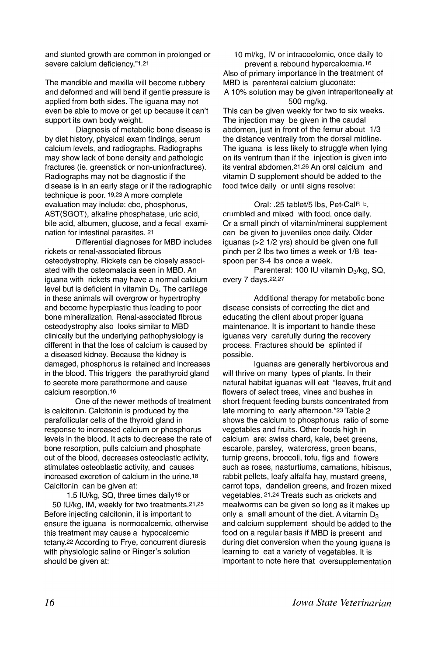and stunted growth are common in prolonged or severe calcium deficiency."1,21

The mandible and maxilla will become rubbery and deformed and will bend if gentle pressure is applied from both sides. The iguana may not even be able to move or get up because it can't support its own body weight.

Diagnosis of metabolic bone disease is by diet history, physical exam findings, serum calcium levels, and radiographs. Radiographs may show lack of bone density and pathologic fractures (ie. greenstick or non-unionfractures). Radiographs may not be diagnostic if the disease is in an early stage or if the radiographic technique is poor. 19,23 A more complete evaluation may include: cbc, phosphorus, AST(SGOT), alkaline phosphatase, uric acid, bile acid, albumen, glucose, and a fecal examination for intestinal parasites. <sup>21</sup>

Differential diagnoses for MBD includes rickets or renal-associated fibrous osteodystrophy. Rickets can be closely associated with the osteomalacia seen in MBD. An iguana with rickets may have a normal calcium level but is deficient in vitamin  $D_3$ . The cartilage in these animals will overgrow or hypertrophy and become hyperplastic thus leading to poor bone mineralization. Renal-associated 'fibrous osteodystrophy also looks similar to MBD clinically but the underlying pathophysiology is different in that the loss of calcium is caused by a diseased kidney. Because the kidney is damaged, phosphorus is retained and increases in the blood. This triggers the parathyroid gland to secrete more parathormone and cause calcium resorption. 16

One of the newer methods of treatment is calcitonin. Calcitonin is produced by the parafollicular cells of the thyroid gland in response to increased calcium or phosphorus levels in the blood. It acts to decrease the rate of bone resorption, pulls calcium and phosphate out of the blood, decreases osteoclastic activity, stimulates osteoblastic activity, and causes increased excretion of calcium in the urine.18 Calcitonin can be given at:

1.5 IU/kg, SQ, three times daily<sup>16</sup> or 50 IU/kg, 1M, weekly for two treatments.21,25 Before injecting calcitonin, it is important to ensure the iguana is normocalcemic, otherwise this treatment may cause a hypocalcemic tetany.22 According to Frye, concurrent diuresis with physiologic saline or Ringer's solution should be given at:

10 ml/kg, IV or intracoelomic, once daily to prevent a rebound hypercalcemia.16 Also of primary importance in the treatment of MBD is parenteral calcium gluconate: A 10% solution may be given intraperitoneally at 500 mg/kg.

This can be given weekly for two to six weeks. The injection may be given in the caudal abdomen, just in front of the femur about 1/3 the distance ventrally from the dorsal midline. The iguana is less likely to struggle when lying on its ventrum than if the injection is given into its ventral abdomen.21 ,26 An oral calcium and vitamin D supplement should be added to the food twice daily or until signs resolve:

Oral: .25 tablet/5 Ibs, Pet-CaiR b, crumbled and mixed with food. once daily. Or a small pinch of vitamin/mineral supplement can be given to juveniles once daily. Older iguanas (>2 1/2 yrs) should be given one full pinch per 2 Ibs two times a week or 1/8 teaspoon per 3-4 Ibs once a week.

Parenteral: 100 IU vitamin D<sub>3</sub>/kg, SQ, every 7 days.22,27

Additional therapy for metabolic bone disease consists of correcting the diet and educating the client about proper iguana maintenance. It is important to handle these iguanas very carefully during the recovery process. Fractures should be splinted if possible.

Iguanas are generally herbivorous and will thrive on many types of plants. In their natural habitat iguanas will eat "leaves, fruit and flowers of select trees, vines and bushes in short frequent feeding bursts concentrated from late morning to early afternoon."23 Table 2 shows the calcium to phosphorus ratio of some vegetables and fruits. Other foods high in calcium are: swiss chard, kale, beet greens, escarole, parsley, watercress, green beans, turnip greens, broccoli, tofu, figs and flowers such as roses, nasturtiums, carnations, hibiscus, rabbit pellets, leafy alfalfa hay, mustard greens, carrot tops, dandelion greens, and frozen mixed vegetables. 21,24 Treats such as crickets and mealworms can be given so long as it makes up only a small amount of the diet. A vitamin  $D_3$ and calcium supplement should be added to the food on a regular basis if MBD is present and during diet conversion when the young iguana is learning to eat a variety of vegetables. It is important to note here that oversupplementation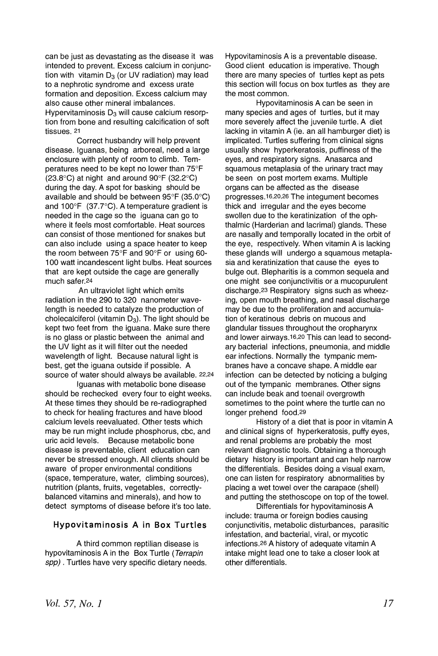can be just as devastating as the disease it was intended to prevent. Excess calcium in conjunction with vitamin  $D_3$  (or UV radiation) may lead to a nephrotic syndrome and excess urate formation and deposition. Excess calcium may also cause other mineral imbalances. Hypervitaminosis  $D_3$  will cause calcium resorption from bone and resulting calcification of soft tissues. <sup>21</sup>

Correct husbandry will help prevent disease. Iguanas, being arboreal, need a large enclosure with plenty of room to climb. Temperatures need to be kept no lower than 75°F (23.8°C) at night and around 90°F (32.2°C) during the day. A spot for basking should be available and should be between 95°F (35.0°C) and 100°F (37.7°C). A temperature gradient is needed in the cage so the iguana can go to where it feels most comfortable. Heat sources can consist of those mentioned for snakes but can also include using a space heater to keep the room between 75°F and 90°F or using 60- 100 watt incandescent light bulbs. Heat sources that are kept outside the cage are generally much safer.24

An ultraviolet light which emits radiation in the 290 to 320 nanometer wavelength is needed to catalyze the production of cholecalciferol (vitamin  $D_3$ ). The light should be kept two feet from the iguana. Make sure there is no glass or plastic between the animal and the UV light as it will filter out the needed wavelength of light. Because natural light is best, get the iguana outside if possible. A source of water should always be available. 22,24

Iguanas with metabolic bone disease should be rechecked every four to eight weeks. At these times they should be re-radiographed to check for healing fractures and have blood calcium levels reevaluated. Other tests which may be run might include phosphorus, cbc, and<br>uric acid levels. Because metabolic bone Because metabolic bone disease is preventable, client education can never be stressed enough. All clients should be aware of proper environmental conditions (space, temperature, water, climbing sources), nutrition (plants, fruits, vegetables, correctlybalanced vitamins and minerals), and how to detect symptoms of disease before it's too late.

# **Hypovitaminosis A in Box Turtles**

A third common reptilian disease is hypovitaminosis A in the Box Turtle (Terrapin spp). Turtles have very specific dietary needs. Hypovitaminosis A is a preventable disease. Good client education is imperative. Though there are many species of turtles kept as pets this section will focus on box turtles as they are the most common.

Hypovitaminosis A can be seen in many species and ages of turtles, but it may more severely affect the juvenile turtle. A diet lacking in vitamin A (ie. an all hamburger diet) is implicated. Turtles suffering from clinical signs usually show hyperkeratosis, puffiness of the eyes, and respiratory signs. Anasarca and squamous metaplasia of the urinary tract may be seen on post mortem exams. Multiple organs can be affected as the disease progresses.16,20,26 The integument becomes thick and irregular and the eyes become swollen due to the keratinization of the ophthalmic (Harderian and lacrimal) glands. These are nasally and temporally located in the orbit of the eye, respectively. When vitamin A is lacking these glands will undergo a squamous metaplasia and keratinization that cause the eyes to bulge out. Blepharitis is a common sequela and one might see conjunctivitis or a mucopurulent discharge.23 Respiratory signs such as wheezing, open mouth breathing, and nasal discharge may be due to the proliferation and accumulation of keratinous debris on mucous and glandular tissues throughout the oropharynx and lower airways.16,2o This can lead to secondary bacterial infections, pneumonia, and middle ear infections. Normally the tympanic membranes have a concave shape. A middle ear infection can be detected by noticing a bulging out of the tympanic membranes. Other signs can include beak and toenail overgrowth sometimes to the point where the turtle can no longer prehend food.29

History of a diet that is poor in vitamin A and clinical signs of hyperkeratosis, puffy eyes, and renal problems are probably the most relevant diagnostic tools. Obtaining a thorough dietary history is important and can help narrow the differentials. Besides doing a visual exam, one can listen for respiratory abnormalities by placing a wet towel over the carapace (shell) and putting the stethoscope on top of the towel.

Differentials for hypovitaminosis A include: trauma or foreign bodies causing conjunctivitis, metabolic disturbances, parasitic infestation, and bacterial, viral, or mycotic infections.26 A history of adequate vitamin A intake might lead one to take a closer look at other differentials.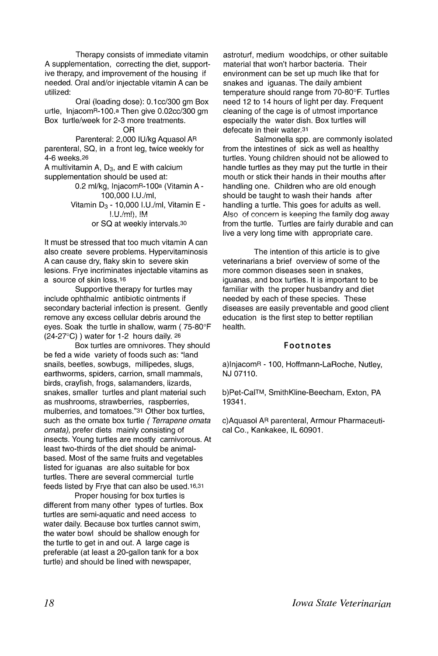Therapy consists of immediate vitamin A supplementation, correcting the diet, supportive therapy, and improvement of the housing if needed. Oral and/or injectable vitamin A can be utilized:

Oral (loading dose): O.1cc/300 gm Box urtle, InjacomR-100.<sup>a</sup> Then give 0.02cc/300 gm Box turtle/week for 2-3 more treatments.

OR

Parenteral: 2,000 IU/kg Aquasol AR parenteral, SQ, in a front leg, twice weekly for 4-6 weeks.26

A multivitamin A,  $D_3$ , and E with calcium supplementation should be used at:

0.2 ml/kg, InjacomR-100a (Vitamin A - 100,000 I.U./ml, Vitamin  $D_3$  - 10,000 I.U./ml, Vitamin E - $I.U./m$  $I.\, I.M.$ or SQ at weekly intervals.30

It must be stressed that too much vitamin A can also create severe problems. Hypervitaminosis A can cause dry, flaky skin to severe skin lesions. Frye incriminates injectable vitamins as a source of skin loss.16

Supportive therapy for turtles may include ophthalmic antibiotic ointments if secondary bacterial infection is present. Gently remove any excess cellular debris around the eyes. Soak the turtle in shallow, warm ( 75-80°F (24-27°C) ) water for 1-2 hours daily. 26

Box turtles are omnivores. They should be fed a wide variety of foods such as: "land snails, beetles, sowbugs, millipedes, slugs, earthworms, spiders, carrion, small mammals, birds, crayfish, frogs, salamanders, lizards, snakes, smaller turtles and plant material such as mushrooms, strawberries, raspberries, mulberries, and tomatoes."31 Other box turtles, such as the ornate box turtle (Terrapene ornata ornata), prefer diets mainly consisting of insects. Young turtles are mostly carnivorous. At least two-thirds of the diet should be animalbased. Most of the same fruits and vegetables listed for iguanas are also suitable for box turtles. There are several commercial turtle feeds listed by Frye that can also be used.16,31

Proper housing for box turtles is different from many other types of turtles. Box turtles are semi-aquatic and need access to water daily. Because box turtles cannot swim, the water bowl should be shallow enough for the turtle to get in and out. A large cage is preferable (at least a 20-gallon tank for a box turtle) and should be lined with newspaper,

astroturf, medium woodcbips, or other suitable material that won't harbor bacteria. Their environment can be set up much like that for snakes and iguanas. The daily ambient temperature should range from 70-80°F. Turtles need 12 to 14 hours of light per day. Frequent cleaning of the cage is of utmost importance especially the water dish. Box turtles will defecate in their water.31

Salmonella spp. are commonly isolated from the intestines of sick as well as healthy turtles. Young children should not be allowed to handle turtles as they may put the turtle in their mouth or stick their hands in their mouths after handling one. Children who are old enough should be taught to wash their hands after handling a turtle. This goes for adults as well. Also of concern is keeping the family dog away from the turtle. Turtles are fairly durable and can live a very long time with appropriate care.

The intention of this article is to give veterinarians a brief overview of some of the more common diseases seen in snakes, iguanas, and box turtles. It is important to be familiar with the proper husbandry and diet needed by each of these species. These diseases are easily preventable and good client education is the first step to better reptilian health.

#### Footnotes

a)lnjacomR - 100, Hoffmann-LaRoche, Nutley, NJ 07110.

b)Pet-CaI™, SmithKline-Beecham, Exton, PA 19341.

c)Aquasol AR parenteral, Armour Pharmaceutical Co., Kankakee, IL 60901.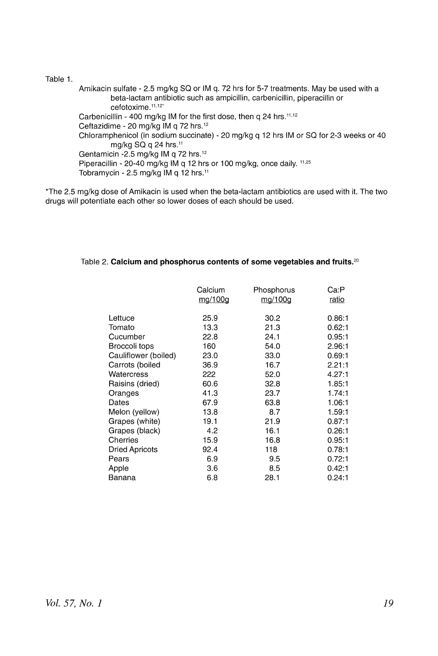Table 1.

Amikacin sulfate - 2.5 mg/kg SQ or IM q. 72 hrs for 5-7 treatments. May be used with a beta-lactam antibiotic such as ampicillin, carbenicillin, piperacillin or cefotoxime.<sup>11,12\*</sup> Carbenicillin - 400 mg/kg IM for the first dose, then q 24 hrs.<sup>11,12</sup> Ceftazidime - 20 mg/kg 1M q 72 hrs. <sup>12</sup> Chloramphenicol (in sodium succinate) - 20 mg/kg q 12 hrs IM or SQ for 2-3 weeks or 40 mg/kg  $SQ$  g  $24$  hrs.<sup>11</sup> Gentamicin -2.5 mg/kg 1M q 72 hrs. <sup>12</sup> Piperacillin - 20-40 mg/kg IM q 12 hrs or 100 mg/kg, once daily. 11,25 Tobramycin - 2.5 mg/kg 1M q 12 hrs. <sup>11</sup>

\*The 2.5 mg/kg dose of Amikacin is used when the beta-lactam antibiotics are used with it. The two drugs will potentiate each other so lower doses of each should be used.

#### Table 2. **Calcium and phosphorus contents of some vegetables and** fruits. <sup>20</sup>

|                       | Calcium<br>mg/100g | Phosphorus<br>mg/100g | Ca P<br>ratio |
|-----------------------|--------------------|-----------------------|---------------|
| Lettuce               | 25.9               | 30.2                  | 0.86:1        |
| Tomato                | 13.3               | 21.3                  | 0.62:1        |
| Cucumber              | 22.8               | 24.1                  | 0.95:1        |
| Broccoli tops         | 160                | 54.0                  | 2.96:1        |
| Cauliflower (boiled)  | 23.0               | 33.0                  | 0.69:1        |
| Carrots (boiled       | 36.9               | 16.7                  | 2.21:1        |
| Watercress            | 222                | 52.0                  | 4.27:1        |
| Raisins (dried)       | 60.6               | 32.8                  | 1.85:1        |
| Oranges               | 41.3               | 23.7                  | 1.74:1        |
| Dates                 | 67.9               | 63.8                  | 1.06:1        |
| Melon (yellow)        | 13.8               | 8.7                   | 1.59:1        |
| Grapes (white)        | 19.1               | 21.9                  | 0.87:1        |
| Grapes (black)        | 4.2                | 16.1                  | 0.26:1        |
| Cherries              | 15.9               | 16.8                  | 0.95:1        |
| <b>Dried Apricots</b> | 92.4               | 118                   | 0.78:1        |
| Pears                 | 6.9                | 9.5                   | 0.72:1        |
| Apple                 | 3.6                | 8.5                   | 0.42:1        |
| Banana                | 6.8                | 28.1                  | 0.24:1        |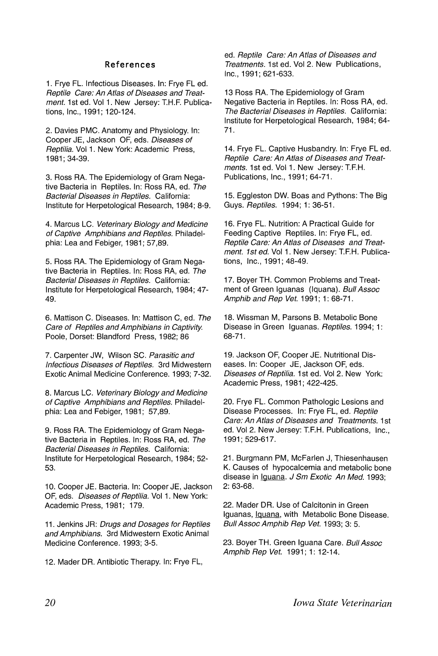#### **References**

1. Frye FL. Infectious Diseases. In: Frye FL ed. Reptile Care: An Atlas of Diseases and Treatment. 1st ed. Vol 1. New Jersey: T.H.F. Publications, Inc., 1991; 120-124.

2. Davies PMC. Anatomy and Physiology. In: Cooper JE, Jackson OF, eds. Diseases of Reptilia. Vol 1. New York: Academic Press, 1981; 34-39.

3. Ross RA. The Epidemiology of Gram Negative Bacteria in Reptiles. In: Ross RA, ed. The Bacterial Diseases in Reptiles. California: Institute for Herpetological Research, 1984; 8-9.

4. Marcus LC. Veterinary Biology and Medicine of Captive Amphibians and Reptiles. Philadelphia: Lea and Febiger, 1981; 57,89.

5. Ross RA. The Epidemiology of Gram Negative Bacteria in Reptiles. In: Ross RA, ed. The Bacterial Diseases in Reptiles. California: Institute for Herpetological Research, 1984; 47- 49.

6. Mattison C. Diseases. In: Mattison C, ed. The Care of Reptiles and Amphibians in Captivity Poole, Dorset: Blandford Press, 1982; 86

7. Carpenter JW, Wilson SC. Parasitic and Infectious Diseases of Reptiles. 3rd Midwestern Exotic Animal Medicine Conference. 1993; 7-32.

8. Marcus LC. Veterinary Biology and Medicine of Captive Amphibians and Reptiles. Philadelphia: Lea and Febiger, 1981; 57,89.

9. Ross RA. The Epidemiology of Gram Negative Bacteria in Reptiles. In: Ross RA, ed. The Bacterial Diseases in Reptiles. California: Institute for Herpetological Research, 1984; 52- 53.

10. Cooper JE. Bacteria. In: Cooper JE, Jackson OF, eds. Diseases of Reptilia. Vol 1. New York: Academic Press, 1981; 179.

11. Jenkins JR: Drugs and Dosages for Reptiles and Amphibians. 3rd Midwestern Exotic Animal Medicine Conference. 1993; 3-5.

12. Mader DR. Antibiotic Therapy. In: Frye FL,

ed. Reptile Care: An Atlas of Diseases and Treatments. 1st ed. Vol 2. New Publications, Inc., 1991; 621-633.

13 Ross RA. The Epidemiology of Gram Negative Bacteria in Reptiles. In: Ross RA, ed. The Bacterial Diseases in Reptiles. California: Institute for Herpetological Research, 1984; 64- 71.

14. Frye FL. Captive Husbandry. In: Frye FL ed. Reptile Care: An Atlas of Diseases and Treatments. 1st ed. Vol 1. New Jersey: T.F.H. Publications, Inc., 1991; 64-71.

15. Eggleston OW. Boas and Pythons: The Big Guys. Reptiles. 1994; 1: 36-51.

16. Frye FL. Nutrition: A Practical Guide for Feeding Captive Reptiles. In: Frye FL, ed. Reptile Care: An Atlas of Diseases and Treatment. 1st ed. Vol 1. New Jersey: T.F.H. Publications, Inc., 1991; 48-49.

17. Boyer TH. Common Problems and Treatment of Green Iguanas (Iquana). Bull Assoc Amphib and Rep Vet. 1991; 1: 68-71.

18. Wissman M, Parsons B. Metabolic Bone Disease in Green Iguanas. Reptiles. 1994; 1: 68-71.

19. Jackson OF, Cooper JE. Nutritional Diseases. In: Cooper JE, Jackson OF, eds. Diseases of Reptilia. 1st ed. Vol 2. New York: Academic Press, 1981; 422-425.

20. Frye FL. Common Pathologic Lesions and Disease Processes. In: Frye FL, ed. Reptile Care: An Atlas of Diseases and Treatments. 1st ed. Vol 2. New Jersey: T.F.H. Publications, Inc., 1991; 529-617.

21. Burgmann PM, McFarlen J, Thiesenhausen K. Causes of hypocalcemia and metabolic bone disease in Iguana. J Sm Exotic An Med. 1993; 2: 63-68.

22. Mader DR. Use of Calcitonin in Green Iguanas, Iguana, with Metabolic Bone Disease. Bull Assoc Amphib Rep Vet. 1993; 3: 5.

23. Boyer TH. Green Iguana Care. Bull Assoc Amphib Rep Vet. 1991; 1: 12-14.